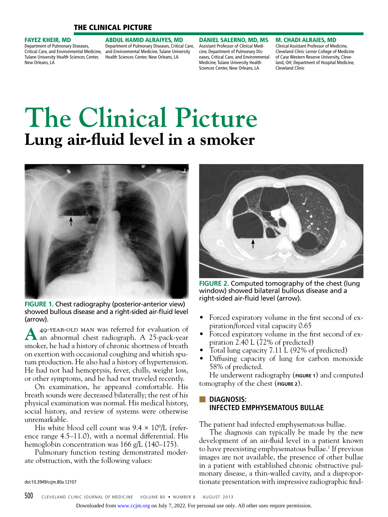# The Clinical Picture

#### Fayez Kheir, MD

Department of Pulmonary Diseases, Critical Care, and Environmental Medicine, Tulane University Health Sciences Center, New Orleans, LA

Abdul Hamid Alraiyes, MD Department of Pulmonary Diseases, Critical Care, and Environmental Medicine, Tulane University Health Sciences Center, New Orleans, LA

Daniel Salerno, MD, MS Assistant Professor of Clinical Medicine, Department of Pulmonary Diseases, Critical Care, and Environmental Medicine, Tulane University Health Sciences Center, New Orleans, LA

M. Chadi Alraies, MD Clinical Assistant Professor of Medicine, Cleveland Clinic Lerner College of Medicine of Case Western Reserve University, Cleveland, OH; Department of Hospital Medicine, Cleveland Clinic

# **The Clinical Picture Lung air-fluid level in a smoker**



**FIGURE 1.** Chest radiography (posterior-anterior view) showed bullous disease and a right-sided air-fluid level (arrow).

**A** 49-year-old man was referred for evaluation of an abnormal chest radiograph. A 25-pack-year smoker, he had a history of chronic shortness of breath on exertion with occasional coughing and whitish sputum production. He also had a history of hypertension. He had not had hemoptysis, fever, chills, weight loss, or other symptoms, and he had not traveled recently.

On examination, he appeared comfortable. His breath sounds were decreased bilaterally; the rest of his physical examination was normal. His medical history, social history, and review of systems were otherwise unremarkable.

His white blood cell count was  $9.4 \times 10^9$ /L (reference range 4.5–11.0), with a normal differential. His hemoglobin concentration was 166 g/L (140–175).

Pulmonary function testing demonstrated moderate obstruction, with the following values:

**FIGURE 2.** Computed tomography of the chest (lung window) showed bilateral bullous disease and a right-sided air-fluid level (arrow).

- Forced expiratory volume in the first second of expiration/forced vital capacity 0.65
- Forced expiratory volume in the first second of expiration 2.40 L (72% of predicted)
- Total lung capacity 7.11 L (92% of predicted)
- Diffusing capacity of lung for carbon monoxide 58% of predicted.

He underwent radiography (**figure 1**) and computed tomography of the chest (**figure 2**).

# ■ **Diagnosis: Infected emphysematous bullae**

The patient had infected emphysematous bullae.

The diagnosis can typically be made by the new development of an air-fluid level in a patient known to have preexisting emphysematous bullae.<sup>1</sup> If previous images are not available, the presence of other bullae in a patient with established chronic obstructive pulmonary disease, a thin-walled cavity, and a disproportionate presentation with impressive radiographic find-

doi:10.3949/ccjm.80a.12107

Downloaded from [www.ccjm.org](http://www.ccjm.org/) on July 7, 2022. For personal use only. All other uses require permission.